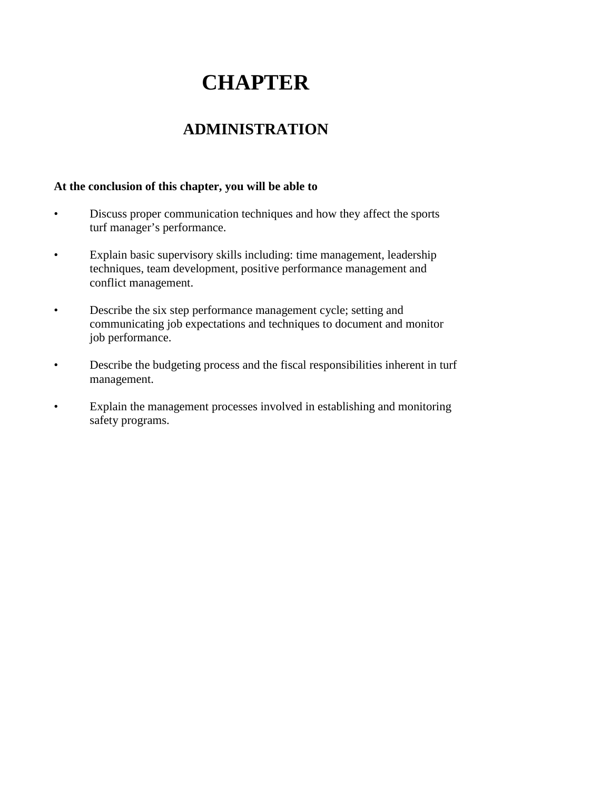# **CHAPTER**

## **ADMINISTRATION**

#### **At the conclusion of this chapter, you will be able to**

- Discuss proper communication techniques and how they affect the sports turf manager's performance.
- Explain basic supervisory skills including: time management, leadership techniques, team development, positive performance management and conflict management.
- Describe the six step performance management cycle; setting and communicating job expectations and techniques to document and monitor job performance.
- Describe the budgeting process and the fiscal responsibilities inherent in turf management.
- Explain the management processes involved in establishing and monitoring safety programs.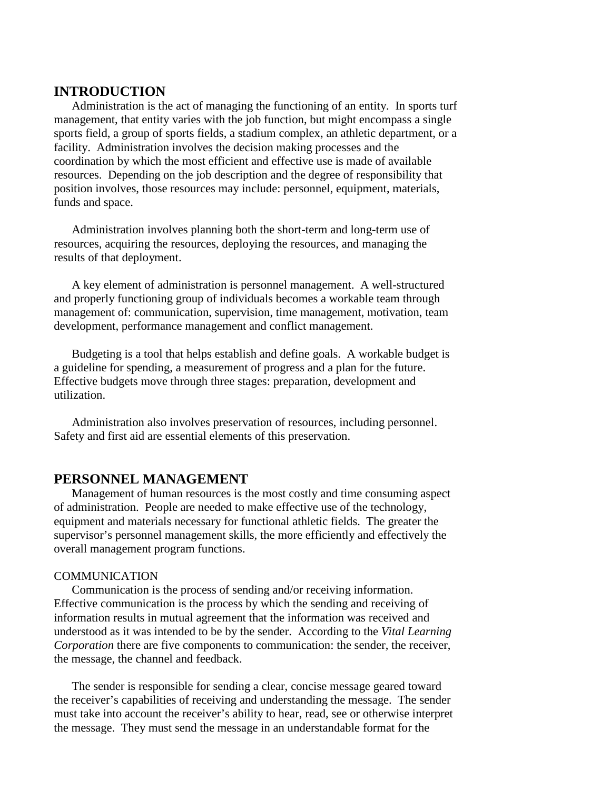### **INTRODUCTION**

Administration is the act of managing the functioning of an entity. In sports turf management, that entity varies with the job function, but might encompass a single sports field, a group of sports fields, a stadium complex, an athletic department, or a facility. Administration involves the decision making processes and the coordination by which the most efficient and effective use is made of available resources. Depending on the job description and the degree of responsibility that position involves, those resources may include: personnel, equipment, materials, funds and space.

Administration involves planning both the short-term and long-term use of resources, acquiring the resources, deploying the resources, and managing the results of that deployment.

A key element of administration is personnel management. A well-structured and properly functioning group of individuals becomes a workable team through management of: communication, supervision, time management, motivation, team development, performance management and conflict management.

Budgeting is a tool that helps establish and define goals. A workable budget is a guideline for spending, a measurement of progress and a plan for the future. Effective budgets move through three stages: preparation, development and utilization.

Administration also involves preservation of resources, including personnel. Safety and first aid are essential elements of this preservation.

#### **PERSONNEL MANAGEMENT**

Management of human resources is the most costly and time consuming aspect of administration. People are needed to make effective use of the technology, equipment and materials necessary for functional athletic fields. The greater the supervisor's personnel management skills, the more efficiently and effectively the overall management program functions.

#### COMMUNICATION

Communication is the process of sending and/or receiving information. Effective communication is the process by which the sending and receiving of information results in mutual agreement that the information was received and understood as it was intended to be by the sender. According to the *Vital Learning Corporation* there are five components to communication: the sender, the receiver, the message, the channel and feedback.

The sender is responsible for sending a clear, concise message geared toward the receiver's capabilities of receiving and understanding the message. The sender must take into account the receiver's ability to hear, read, see or otherwise interpret the message. They must send the message in an understandable format for the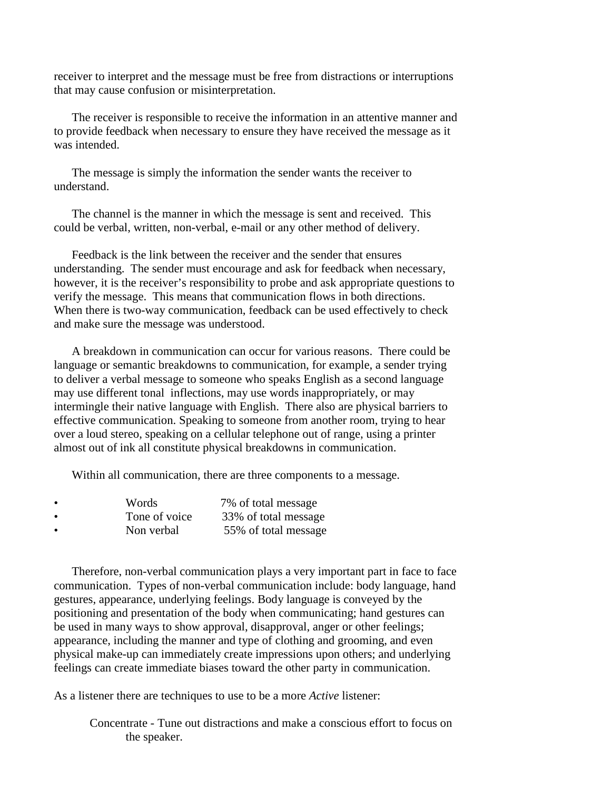receiver to interpret and the message must be free from distractions or interruptions that may cause confusion or misinterpretation.

The receiver is responsible to receive the information in an attentive manner and to provide feedback when necessary to ensure they have received the message as it was intended.

The message is simply the information the sender wants the receiver to understand.

The channel is the manner in which the message is sent and received. This could be verbal, written, non-verbal, e-mail or any other method of delivery.

Feedback is the link between the receiver and the sender that ensures understanding. The sender must encourage and ask for feedback when necessary, however, it is the receiver's responsibility to probe and ask appropriate questions to verify the message. This means that communication flows in both directions. When there is two-way communication, feedback can be used effectively to check and make sure the message was understood.

A breakdown in communication can occur for various reasons. There could be language or semantic breakdowns to communication, for example, a sender trying to deliver a verbal message to someone who speaks English as a second language may use different tonal inflections, may use words inappropriately, or may intermingle their native language with English. There also are physical barriers to effective communication. Speaking to someone from another room, trying to hear over a loud stereo, speaking on a cellular telephone out of range, using a printer almost out of ink all constitute physical breakdowns in communication.

Within all communication, there are three components to a message.

| $\bullet$ | Words         | 7% of total message  |
|-----------|---------------|----------------------|
| $\bullet$ | Tone of voice | 33% of total message |
| $\bullet$ | Non verbal    | 55% of total message |

Therefore, non-verbal communication plays a very important part in face to face communication. Types of non-verbal communication include: body language, hand gestures, appearance, underlying feelings. Body language is conveyed by the positioning and presentation of the body when communicating; hand gestures can be used in many ways to show approval, disapproval, anger or other feelings; appearance, including the manner and type of clothing and grooming, and even physical make-up can immediately create impressions upon others; and underlying feelings can create immediate biases toward the other party in communication.

As a listener there are techniques to use to be a more *Active* listener:

Concentrate - Tune out distractions and make a conscious effort to focus on the speaker.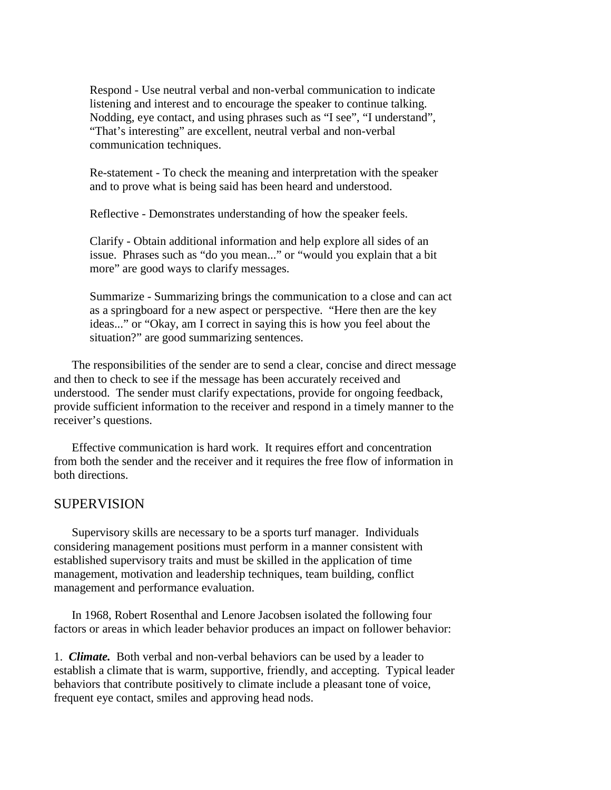Respond - Use neutral verbal and non-verbal communication to indicate listening and interest and to encourage the speaker to continue talking. Nodding, eye contact, and using phrases such as "I see", "I understand", "That's interesting" are excellent, neutral verbal and non-verbal communication techniques.

Re-statement - To check the meaning and interpretation with the speaker and to prove what is being said has been heard and understood.

Reflective - Demonstrates understanding of how the speaker feels.

Clarify - Obtain additional information and help explore all sides of an issue. Phrases such as "do you mean..." or "would you explain that a bit more" are good ways to clarify messages.

Summarize - Summarizing brings the communication to a close and can act as a springboard for a new aspect or perspective. "Here then are the key ideas..." or "Okay, am I correct in saying this is how you feel about the situation?" are good summarizing sentences.

The responsibilities of the sender are to send a clear, concise and direct message and then to check to see if the message has been accurately received and understood. The sender must clarify expectations, provide for ongoing feedback, provide sufficient information to the receiver and respond in a timely manner to the receiver's questions.

Effective communication is hard work. It requires effort and concentration from both the sender and the receiver and it requires the free flow of information in both directions.

### SUPERVISION

Supervisory skills are necessary to be a sports turf manager. Individuals considering management positions must perform in a manner consistent with established supervisory traits and must be skilled in the application of time management, motivation and leadership techniques, team building, conflict management and performance evaluation.

In 1968, Robert Rosenthal and Lenore Jacobsen isolated the following four factors or areas in which leader behavior produces an impact on follower behavior:

1. *Climate.* Both verbal and non-verbal behaviors can be used by a leader to establish a climate that is warm, supportive, friendly, and accepting. Typical leader behaviors that contribute positively to climate include a pleasant tone of voice, frequent eye contact, smiles and approving head nods.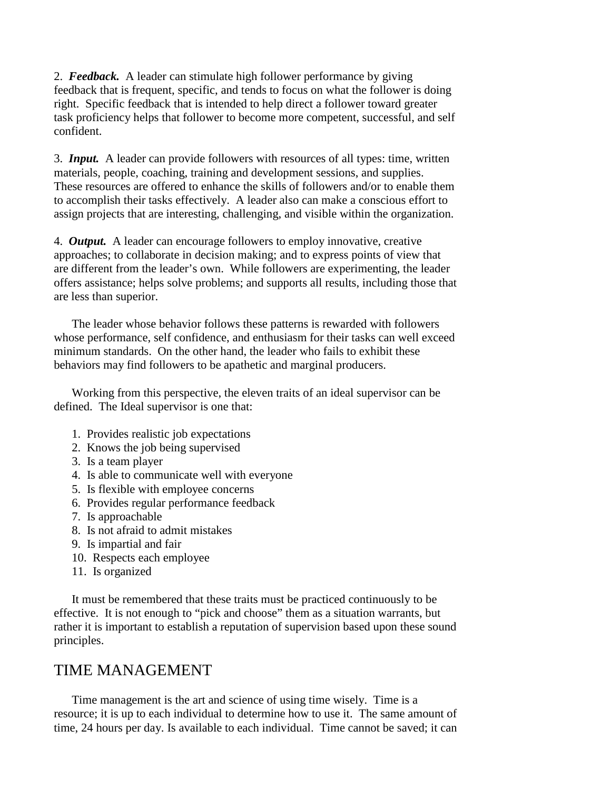2. *Feedback.* A leader can stimulate high follower performance by giving feedback that is frequent, specific, and tends to focus on what the follower is doing right. Specific feedback that is intended to help direct a follower toward greater task proficiency helps that follower to become more competent, successful, and self confident.

3. *Input.* A leader can provide followers with resources of all types: time, written materials, people, coaching, training and development sessions, and supplies. These resources are offered to enhance the skills of followers and/or to enable them to accomplish their tasks effectively. A leader also can make a conscious effort to assign projects that are interesting, challenging, and visible within the organization.

4. *Output.* A leader can encourage followers to employ innovative, creative approaches; to collaborate in decision making; and to express points of view that are different from the leader's own. While followers are experimenting, the leader offers assistance; helps solve problems; and supports all results, including those that are less than superior.

The leader whose behavior follows these patterns is rewarded with followers whose performance, self confidence, and enthusiasm for their tasks can well exceed minimum standards. On the other hand, the leader who fails to exhibit these behaviors may find followers to be apathetic and marginal producers.

Working from this perspective, the eleven traits of an ideal supervisor can be defined. The Ideal supervisor is one that:

- 1. Provides realistic job expectations
- 2. Knows the job being supervised
- 3. Is a team player
- 4. Is able to communicate well with everyone
- 5. Is flexible with employee concerns
- 6. Provides regular performance feedback
- 7. Is approachable
- 8. Is not afraid to admit mistakes
- 9. Is impartial and fair
- 10. Respects each employee
- 11. Is organized

It must be remembered that these traits must be practiced continuously to be effective. It is not enough to "pick and choose" them as a situation warrants, but rather it is important to establish a reputation of supervision based upon these sound principles.

## TIME MANAGEMENT

Time management is the art and science of using time wisely. Time is a resource; it is up to each individual to determine how to use it. The same amount of time, 24 hours per day. Is available to each individual. Time cannot be saved; it can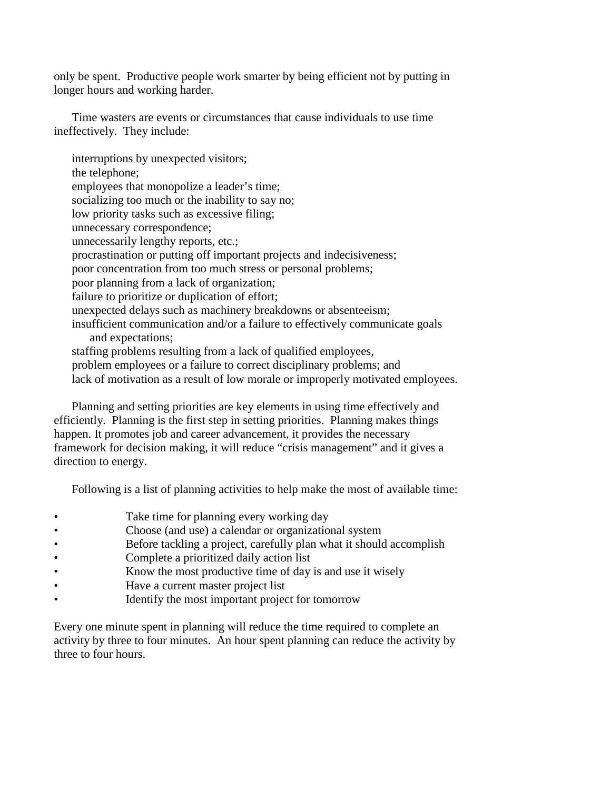only be spent. Productive people work smarter by being efficient not by putting in longer hours and working harder.

Time wasters are events or circumstances that cause individuals to use time ineffectively. They include:

interruptions by unexpected visitors; the telephone; employees that monopolize a leader's time; socializing too much or the inability to say no; low priority tasks such as excessive filing; unnecessary correspondence; unnecessarily lengthy reports, etc.; procrastination or putting off important projects and indecisiveness; poor concentration from too much stress or personal problems; poor planning from a lack of organization; failure to prioritize or duplication of effort; unexpected delays such as machinery breakdowns or absenteeism; insufficient communication and/or a failure to effectively communicate goals and expectations; staffing problems resulting from a lack of qualified employees, problem employees or a failure to correct disciplinary problems; and lack of motivation as a result of low morale or improperly motivated employees.

Planning and setting priorities are key elements in using time effectively and efficiently. Planning is the first step in setting priorities. Planning makes things happen. It promotes job and career advancement, it provides the necessary framework for decision making, it will reduce "crisis management" and it gives a direction to energy.

Following is a list of planning activities to help make the most of available time:

- Take time for planning every working day
- Choose (and use) a calendar or organizational system
- Before tackling a project, carefully plan what it should accomplish
- Complete a prioritized daily action list
- Know the most productive time of day is and use it wisely
- Have a current master project list
- Identify the most important project for tomorrow

Every one minute spent in planning will reduce the time required to complete an activity by three to four minutes. An hour spent planning can reduce the activity by three to four hours.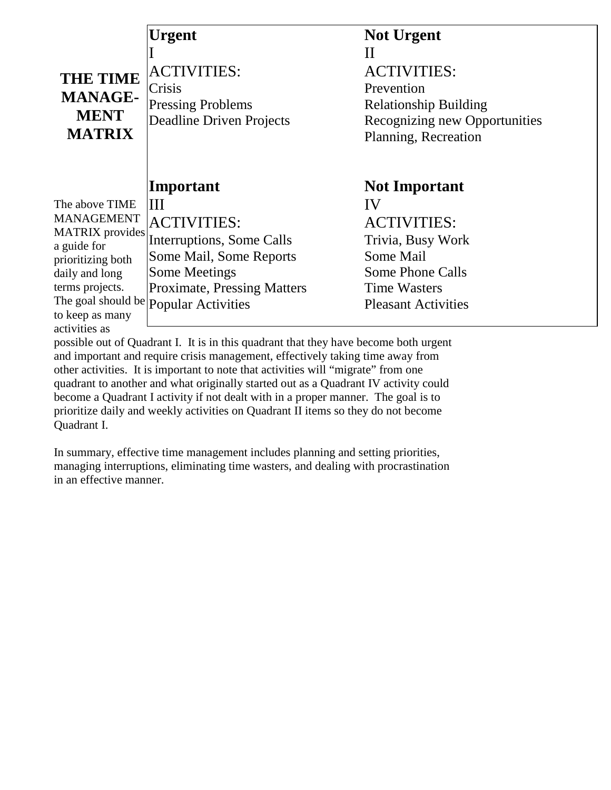|                                                                   | Urgent                                                                                      | <b>Not Urgent</b>                                                                                                                    |
|-------------------------------------------------------------------|---------------------------------------------------------------------------------------------|--------------------------------------------------------------------------------------------------------------------------------------|
| <b>THE TIME</b><br><b>MANAGE-</b><br><b>MENT</b><br><b>MATRIX</b> | <b>ACTIVITIES:</b><br>Crisis<br><b>Pressing Problems</b><br><b>Deadline Driven Projects</b> | $\prod$<br><b>ACTIVITIES:</b><br>Prevention<br><b>Relationship Building</b><br>Recognizing new Opportunities<br>Planning, Recreation |
|                                                                   | <b>Important</b>                                                                            | <b>Not Important</b>                                                                                                                 |
| The above TIME                                                    | Ш                                                                                           | IV                                                                                                                                   |
| <b>MANAGEMENT</b>                                                 | <b>ACTIVITIES:</b>                                                                          | <b>ACTIVITIES:</b>                                                                                                                   |
| <b>MATRIX</b> provides                                            | Interruptions, Some Calls                                                                   | Trivia, Busy Work                                                                                                                    |
| a guide for<br>prioritizing both                                  | Some Mail, Some Reports                                                                     | Some Mail                                                                                                                            |
| daily and long                                                    | <b>Some Meetings</b>                                                                        | Some Phone Calls                                                                                                                     |
| terms projects.                                                   | <b>Proximate, Pressing Matters</b>                                                          | <b>Time Wasters</b>                                                                                                                  |
| The goal should be<br>to keep as many<br>activities as            | <b>Popular Activities</b>                                                                   | <b>Pleasant Activities</b>                                                                                                           |
|                                                                   | possible out of Quadrant I. It is in this quadrant that they have become both urgent        |                                                                                                                                      |

and important and require crisis management, effectively taking time away from other activities. It is important to note that activities will "migrate" from one quadrant to another and what originally started out as a Quadrant IV activity could become a Quadrant I activity if not dealt with in a proper manner. The goal is to prioritize daily and weekly activities on Quadrant II items so they do not become Quadrant I.

In summary, effective time management includes planning and setting priorities, managing interruptions, eliminating time wasters, and dealing with procrastination in an effective manner.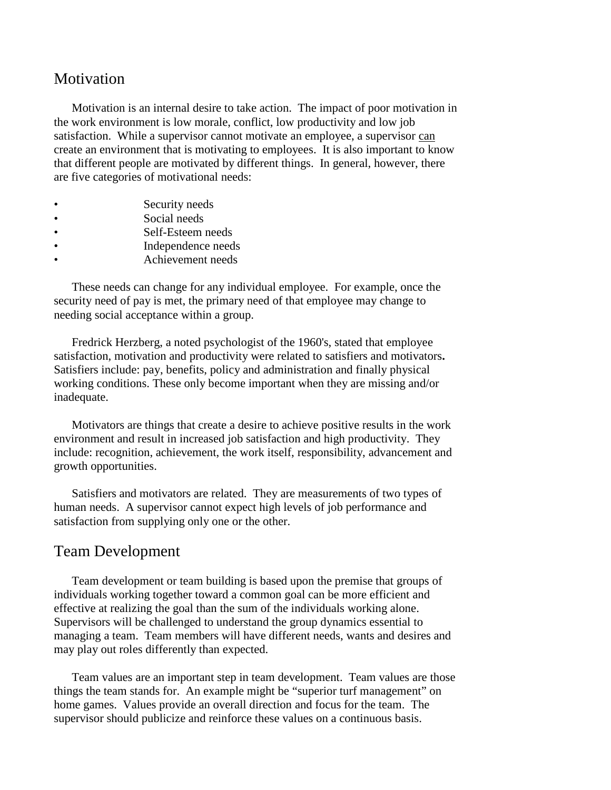## Motivation

Motivation is an internal desire to take action. The impact of poor motivation in the work environment is low morale, conflict, low productivity and low job satisfaction. While a supervisor cannot motivate an employee, a supervisor can create an environment that is motivating to employees. It is also important to know that different people are motivated by different things. In general, however, there are five categories of motivational needs:

- Security needs
- Social needs
- Self-Esteem needs
- Independence needs
- Achievement needs

These needs can change for any individual employee. For example, once the security need of pay is met, the primary need of that employee may change to needing social acceptance within a group.

Fredrick Herzberg, a noted psychologist of the 1960's, stated that employee satisfaction, motivation and productivity were related to satisfiers and motivators**.** Satisfiers include: pay, benefits, policy and administration and finally physical working conditions. These only become important when they are missing and/or inadequate.

Motivators are things that create a desire to achieve positive results in the work environment and result in increased job satisfaction and high productivity. They include: recognition, achievement, the work itself, responsibility, advancement and growth opportunities.

Satisfiers and motivators are related. They are measurements of two types of human needs. A supervisor cannot expect high levels of job performance and satisfaction from supplying only one or the other.

## Team Development

Team development or team building is based upon the premise that groups of individuals working together toward a common goal can be more efficient and effective at realizing the goal than the sum of the individuals working alone. Supervisors will be challenged to understand the group dynamics essential to managing a team. Team members will have different needs, wants and desires and may play out roles differently than expected.

Team values are an important step in team development. Team values are those things the team stands for. An example might be "superior turf management" on home games. Values provide an overall direction and focus for the team. The supervisor should publicize and reinforce these values on a continuous basis.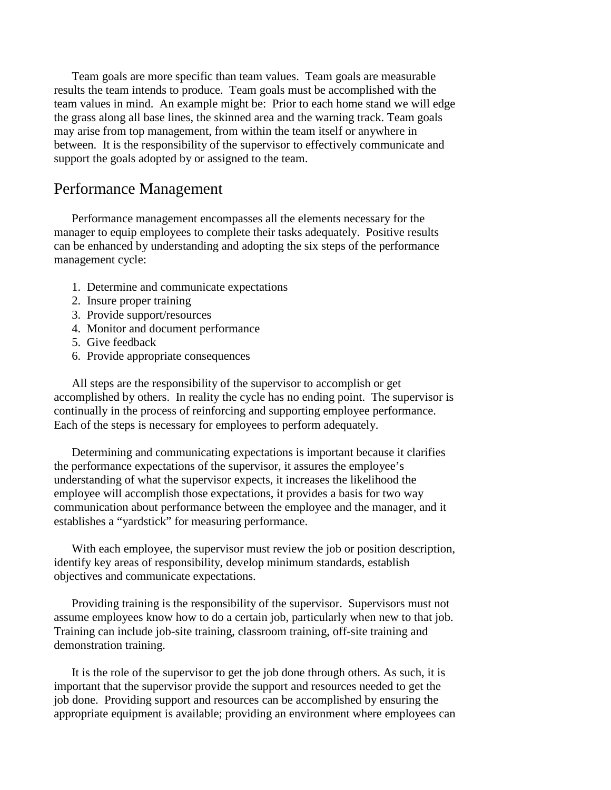Team goals are more specific than team values. Team goals are measurable results the team intends to produce. Team goals must be accomplished with the team values in mind. An example might be: Prior to each home stand we will edge the grass along all base lines, the skinned area and the warning track. Team goals may arise from top management, from within the team itself or anywhere in between. It is the responsibility of the supervisor to effectively communicate and support the goals adopted by or assigned to the team.

## Performance Management

Performance management encompasses all the elements necessary for the manager to equip employees to complete their tasks adequately. Positive results can be enhanced by understanding and adopting the six steps of the performance management cycle:

- 1. Determine and communicate expectations
- 2. Insure proper training
- 3. Provide support/resources
- 4. Monitor and document performance
- 5. Give feedback
- 6. Provide appropriate consequences

All steps are the responsibility of the supervisor to accomplish or get accomplished by others. In reality the cycle has no ending point. The supervisor is continually in the process of reinforcing and supporting employee performance. Each of the steps is necessary for employees to perform adequately.

Determining and communicating expectations is important because it clarifies the performance expectations of the supervisor, it assures the employee's understanding of what the supervisor expects, it increases the likelihood the employee will accomplish those expectations, it provides a basis for two way communication about performance between the employee and the manager, and it establishes a "yardstick" for measuring performance.

With each employee, the supervisor must review the job or position description, identify key areas of responsibility, develop minimum standards, establish objectives and communicate expectations.

Providing training is the responsibility of the supervisor. Supervisors must not assume employees know how to do a certain job, particularly when new to that job. Training can include job-site training, classroom training, off-site training and demonstration training.

It is the role of the supervisor to get the job done through others. As such, it is important that the supervisor provide the support and resources needed to get the job done. Providing support and resources can be accomplished by ensuring the appropriate equipment is available; providing an environment where employees can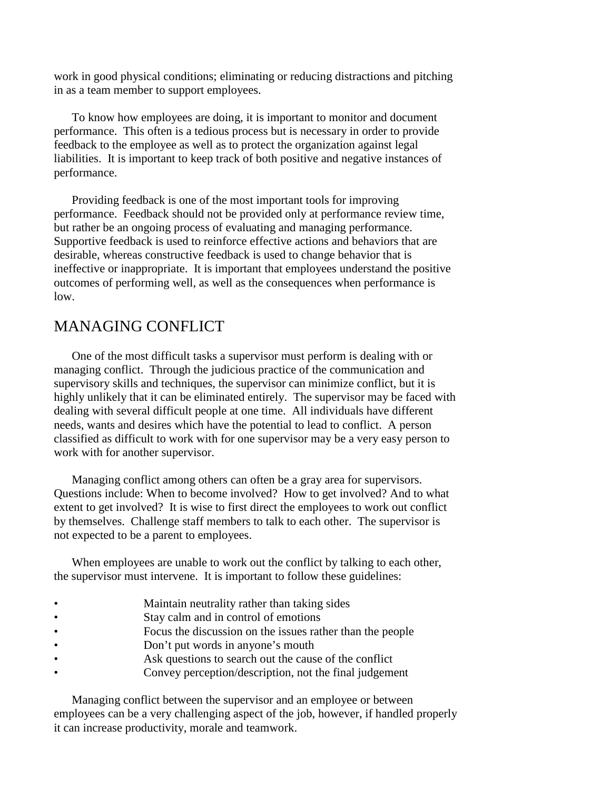work in good physical conditions; eliminating or reducing distractions and pitching in as a team member to support employees.

To know how employees are doing, it is important to monitor and document performance. This often is a tedious process but is necessary in order to provide feedback to the employee as well as to protect the organization against legal liabilities. It is important to keep track of both positive and negative instances of performance.

Providing feedback is one of the most important tools for improving performance. Feedback should not be provided only at performance review time, but rather be an ongoing process of evaluating and managing performance. Supportive feedback is used to reinforce effective actions and behaviors that are desirable, whereas constructive feedback is used to change behavior that is ineffective or inappropriate. It is important that employees understand the positive outcomes of performing well, as well as the consequences when performance is low.

## MANAGING CONFLICT

One of the most difficult tasks a supervisor must perform is dealing with or managing conflict. Through the judicious practice of the communication and supervisory skills and techniques, the supervisor can minimize conflict, but it is highly unlikely that it can be eliminated entirely. The supervisor may be faced with dealing with several difficult people at one time. All individuals have different needs, wants and desires which have the potential to lead to conflict. A person classified as difficult to work with for one supervisor may be a very easy person to work with for another supervisor.

Managing conflict among others can often be a gray area for supervisors. Questions include: When to become involved? How to get involved? And to what extent to get involved? It is wise to first direct the employees to work out conflict by themselves. Challenge staff members to talk to each other. The supervisor is not expected to be a parent to employees.

When employees are unable to work out the conflict by talking to each other, the supervisor must intervene. It is important to follow these guidelines:

- Maintain neutrality rather than taking sides
- Stay calm and in control of emotions
- Focus the discussion on the issues rather than the people
- Don't put words in anyone's mouth
- Ask questions to search out the cause of the conflict
- Convey perception/description, not the final judgement

Managing conflict between the supervisor and an employee or between employees can be a very challenging aspect of the job, however, if handled properly it can increase productivity, morale and teamwork.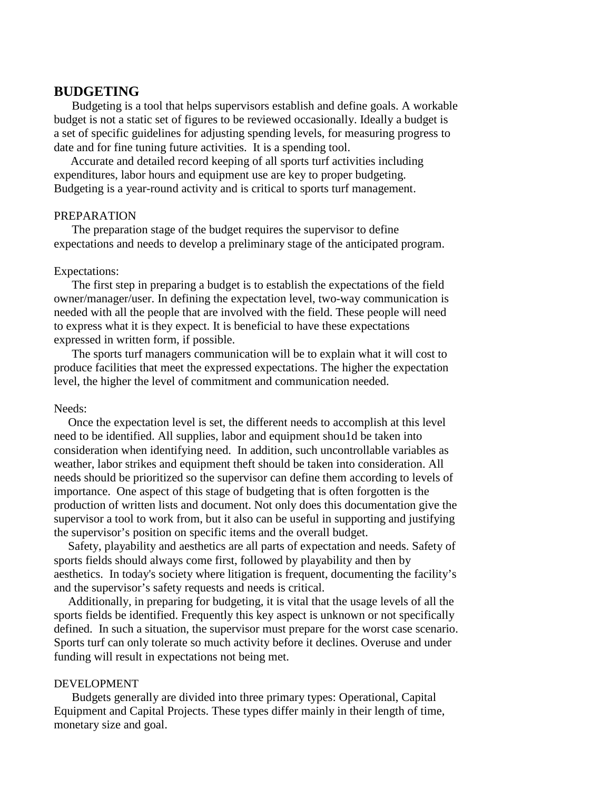#### **BUDGETING**

Budgeting is a tool that helps supervisors establish and define goals. A workable budget is not a static set of figures to be reviewed occasionally. Ideally a budget is a set of specific guidelines for adjusting spending levels, for measuring progress to date and for fine tuning future activities. It is a spending tool.

Accurate and detailed record keeping of all sports turf activities including expenditures, labor hours and equipment use are key to proper budgeting. Budgeting is a year-round activity and is critical to sports turf management.

#### PREPARATION

The preparation stage of the budget requires the supervisor to define expectations and needs to develop a preliminary stage of the anticipated program.

#### Expectations:

The first step in preparing a budget is to establish the expectations of the field owner/manager/user. In defining the expectation level, two-way communication is needed with all the people that are involved with the field. These people will need to express what it is they expect. It is beneficial to have these expectations expressed in written form, if possible.

The sports turf managers communication will be to explain what it will cost to produce facilities that meet the expressed expectations. The higher the expectation level, the higher the level of commitment and communication needed.

#### Needs:

Once the expectation level is set, the different needs to accomplish at this level need to be identified. All supplies, labor and equipment shou1d be taken into consideration when identifying need. In addition, such uncontrollable variables as weather, labor strikes and equipment theft should be taken into consideration. All needs should be prioritized so the supervisor can define them according to levels of importance. One aspect of this stage of budgeting that is often forgotten is the production of written lists and document. Not only does this documentation give the supervisor a tool to work from, but it also can be useful in supporting and justifying the supervisor's position on specific items and the overall budget.

Safety, playability and aesthetics are all parts of expectation and needs. Safety of sports fields should always come first, followed by playability and then by aesthetics. In today's society where litigation is frequent, documenting the facility's and the supervisor's safety requests and needs is critical.

Additionally, in preparing for budgeting, it is vital that the usage levels of all the sports fields be identified. Frequently this key aspect is unknown or not specifically defined. In such a situation, the supervisor must prepare for the worst case scenario. Sports turf can only tolerate so much activity before it declines. Overuse and under funding will result in expectations not being met.

#### DEVELOPMENT

Budgets generally are divided into three primary types: Operational, Capital Equipment and Capital Projects. These types differ mainly in their length of time, monetary size and goal.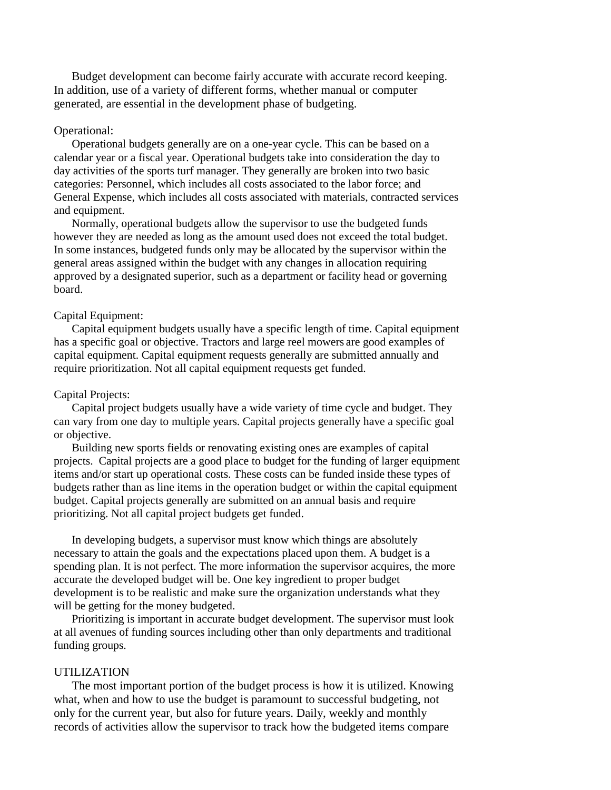Budget development can become fairly accurate with accurate record keeping. In addition, use of a variety of different forms, whether manual or computer generated, are essential in the development phase of budgeting.

#### Operational:

Operational budgets generally are on a one-year cycle. This can be based on a calendar year or a fiscal year. Operational budgets take into consideration the day to day activities of the sports turf manager. They generally are broken into two basic categories: Personnel, which includes all costs associated to the labor force; and General Expense, which includes all costs associated with materials, contracted services and equipment.

Normally, operational budgets allow the supervisor to use the budgeted funds however they are needed as long as the amount used does not exceed the total budget. In some instances, budgeted funds only may be allocated by the supervisor within the general areas assigned within the budget with any changes in allocation requiring approved by a designated superior, such as a department or facility head or governing board.

#### Capital Equipment:

Capital equipment budgets usually have a specific length of time. Capital equipment has a specific goal or objective. Tractors and large reel mowers are good examples of capital equipment. Capital equipment requests generally are submitted annually and require prioritization. Not all capital equipment requests get funded.

#### Capital Projects:

Capital project budgets usually have a wide variety of time cycle and budget. They can vary from one day to multiple years. Capital projects generally have a specific goal or objective.

Building new sports fields or renovating existing ones are examples of capital projects. Capital projects are a good place to budget for the funding of larger equipment items and/or start up operational costs. These costs can be funded inside these types of budgets rather than as line items in the operation budget or within the capital equipment budget. Capital projects generally are submitted on an annual basis and require prioritizing. Not all capital project budgets get funded.

In developing budgets, a supervisor must know which things are absolutely necessary to attain the goals and the expectations placed upon them. A budget is a spending plan. It is not perfect. The more information the supervisor acquires, the more accurate the developed budget will be. One key ingredient to proper budget development is to be realistic and make sure the organization understands what they will be getting for the money budgeted.

Prioritizing is important in accurate budget development. The supervisor must look at all avenues of funding sources including other than only departments and traditional funding groups.

#### UTILIZATION

The most important portion of the budget process is how it is utilized. Knowing what, when and how to use the budget is paramount to successful budgeting, not only for the current year, but also for future years. Daily, weekly and monthly records of activities allow the supervisor to track how the budgeted items compare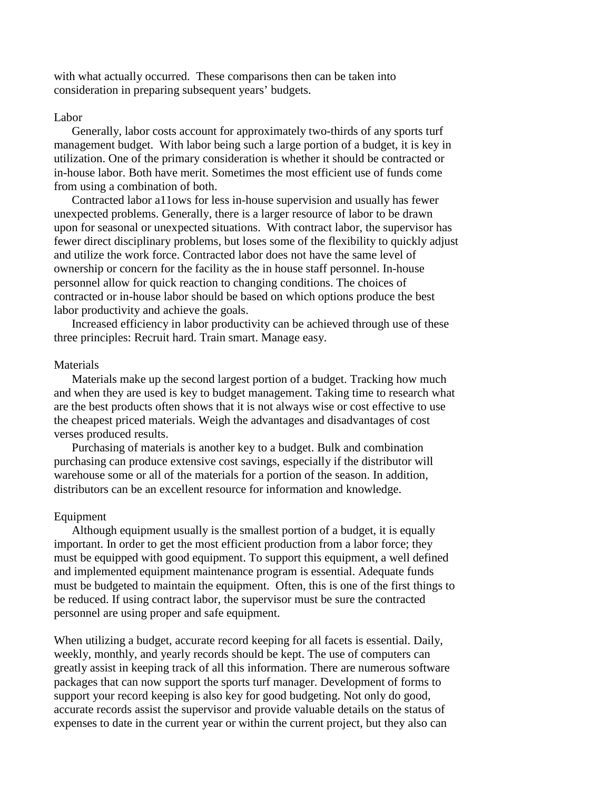with what actually occurred. These comparisons then can be taken into consideration in preparing subsequent years' budgets.

#### Labor

Generally, labor costs account for approximately two-thirds of any sports turf management budget. With labor being such a large portion of a budget, it is key in utilization. One of the primary consideration is whether it should be contracted or in-house labor. Both have merit. Sometimes the most efficient use of funds come from using a combination of both.

Contracted labor a11ows for less in-house supervision and usually has fewer unexpected problems. Generally, there is a larger resource of labor to be drawn upon for seasonal or unexpected situations. With contract labor, the supervisor has fewer direct disciplinary problems, but loses some of the flexibility to quickly adjust and utilize the work force. Contracted labor does not have the same level of ownership or concern for the facility as the in house staff personnel. In-house personnel allow for quick reaction to changing conditions. The choices of contracted or in-house labor should be based on which options produce the best labor productivity and achieve the goals.

Increased efficiency in labor productivity can be achieved through use of these three principles: Recruit hard. Train smart. Manage easy.

#### **Materials**

Materials make up the second largest portion of a budget. Tracking how much and when they are used is key to budget management. Taking time to research what are the best products often shows that it is not always wise or cost effective to use the cheapest priced materials. Weigh the advantages and disadvantages of cost verses produced results.

Purchasing of materials is another key to a budget. Bulk and combination purchasing can produce extensive cost savings, especially if the distributor will warehouse some or all of the materials for a portion of the season. In addition, distributors can be an excellent resource for information and knowledge.

#### Equipment

Although equipment usually is the smallest portion of a budget, it is equally important. In order to get the most efficient production from a labor force; they must be equipped with good equipment. To support this equipment, a well defined and implemented equipment maintenance program is essential. Adequate funds must be budgeted to maintain the equipment. Often, this is one of the first things to be reduced. If using contract labor, the supervisor must be sure the contracted personnel are using proper and safe equipment.

When utilizing a budget, accurate record keeping for all facets is essential. Daily, weekly, monthly, and yearly records should be kept. The use of computers can greatly assist in keeping track of all this information. There are numerous software packages that can now support the sports turf manager. Development of forms to support your record keeping is also key for good budgeting. Not only do good, accurate records assist the supervisor and provide valuable details on the status of expenses to date in the current year or within the current project, but they also can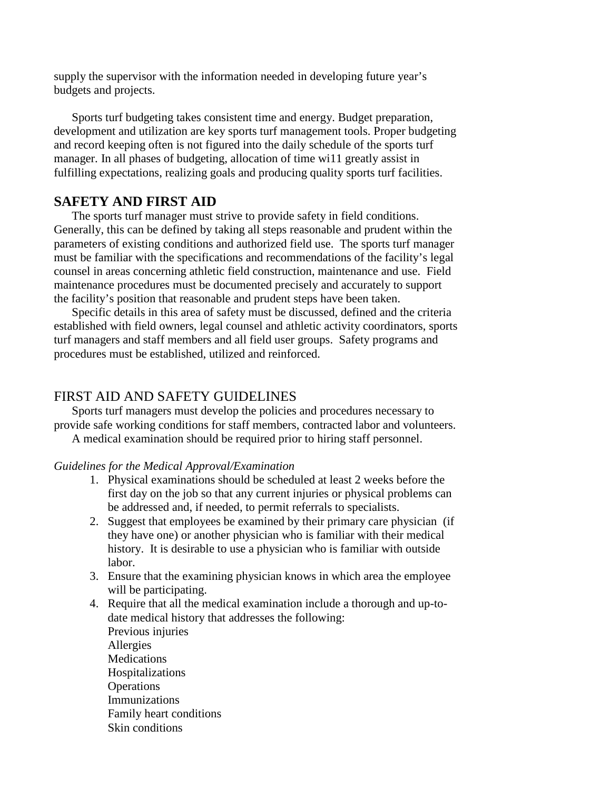supply the supervisor with the information needed in developing future year's budgets and projects.

Sports turf budgeting takes consistent time and energy. Budget preparation, development and utilization are key sports turf management tools. Proper budgeting and record keeping often is not figured into the daily schedule of the sports turf manager. In all phases of budgeting, allocation of time wi11 greatly assist in fulfilling expectations, realizing goals and producing quality sports turf facilities.

## **SAFETY AND FIRST AID**

The sports turf manager must strive to provide safety in field conditions. Generally, this can be defined by taking all steps reasonable and prudent within the parameters of existing conditions and authorized field use. The sports turf manager must be familiar with the specifications and recommendations of the facility's legal counsel in areas concerning athletic field construction, maintenance and use. Field maintenance procedures must be documented precisely and accurately to support the facility's position that reasonable and prudent steps have been taken.

Specific details in this area of safety must be discussed, defined and the criteria established with field owners, legal counsel and athletic activity coordinators, sports turf managers and staff members and all field user groups. Safety programs and procedures must be established, utilized and reinforced.

## FIRST AID AND SAFETY GUIDELINES

Sports turf managers must develop the policies and procedures necessary to provide safe working conditions for staff members, contracted labor and volunteers.

A medical examination should be required prior to hiring staff personnel.

#### *Guidelines for the Medical Approval/Examination*

- 1. Physical examinations should be scheduled at least 2 weeks before the first day on the job so that any current injuries or physical problems can be addressed and, if needed, to permit referrals to specialists.
- 2. Suggest that employees be examined by their primary care physician (if they have one) or another physician who is familiar with their medical history. It is desirable to use a physician who is familiar with outside labor.
- 3. Ensure that the examining physician knows in which area the employee will be participating.
- 4. Require that all the medical examination include a thorough and up-todate medical history that addresses the following: Previous injuries Allergies **Medications** Hospitalizations **Operations** Immunizations Family heart conditions Skin conditions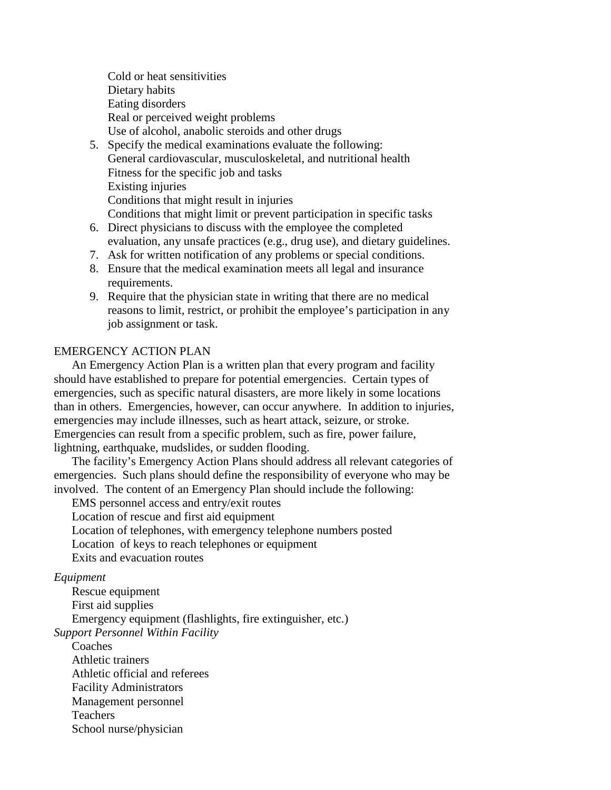Cold or heat sensitivities Dietary habits Eating disorders Real or perceived weight problems Use of alcohol, anabolic steroids and other drugs 5. Specify the medical examinations evaluate the following: General cardiovascular, musculoskeletal, and nutritional health Fitness for the specific job and tasks Existing injuries Conditions that might result in injuries Conditions that might limit or prevent participation in specific tasks

- 6. Direct physicians to discuss with the employee the completed evaluation, any unsafe practices (e.g., drug use), and dietary guidelines.
- 7. Ask for written notification of any problems or special conditions.
- 8. Ensure that the medical examination meets all legal and insurance requirements.
- 9. Require that the physician state in writing that there are no medical reasons to limit, restrict, or prohibit the employee's participation in any job assignment or task.

#### EMERGENCY ACTION PLAN

An Emergency Action Plan is a written plan that every program and facility should have established to prepare for potential emergencies. Certain types of emergencies, such as specific natural disasters, are more likely in some locations than in others. Emergencies, however, can occur anywhere. In addition to injuries, emergencies may include illnesses, such as heart attack, seizure, or stroke. Emergencies can result from a specific problem, such as fire, power failure, lightning, earthquake, mudslides, or sudden flooding.

The facility's Emergency Action Plans should address all relevant categories of emergencies. Such plans should define the responsibility of everyone who may be involved. The content of an Emergency Plan should include the following:

EMS personnel access and entry/exit routes Location of rescue and first aid equipment Location of telephones, with emergency telephone numbers posted Location of keys to reach telephones or equipment Exits and evacuation routes

#### *Equipment*

Rescue equipment First aid supplies Emergency equipment (flashlights, fire extinguisher, etc.) *Support Personnel Within Facility*

Coaches Athletic trainers Athletic official and referees Facility Administrators Management personnel Teachers School nurse/physician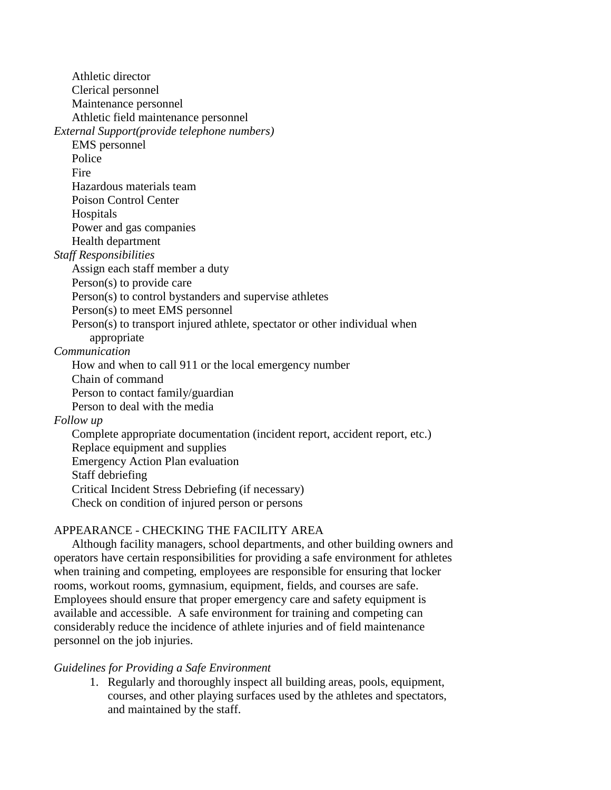Athletic director Clerical personnel Maintenance personnel Athletic field maintenance personnel *External Support(provide telephone numbers)* EMS personnel **Police** Fire Hazardous materials team Poison Control Center Hospitals Power and gas companies Health department *Staff Responsibilities* Assign each staff member a duty Person(s) to provide care Person(s) to control bystanders and supervise athletes Person(s) to meet EMS personnel Person(s) to transport injured athlete, spectator or other individual when appropriate *Communication* How and when to call 911 or the local emergency number Chain of command Person to contact family/guardian Person to deal with the media *Follow up* Complete appropriate documentation (incident report, accident report, etc.) Replace equipment and supplies Emergency Action Plan evaluation Staff debriefing Critical Incident Stress Debriefing (if necessary) Check on condition of injured person or persons

#### APPEARANCE - CHECKING THE FACILITY AREA

Although facility managers, school departments, and other building owners and operators have certain responsibilities for providing a safe environment for athletes when training and competing, employees are responsible for ensuring that locker rooms, workout rooms, gymnasium, equipment, fields, and courses are safe. Employees should ensure that proper emergency care and safety equipment is available and accessible. A safe environment for training and competing can considerably reduce the incidence of athlete injuries and of field maintenance personnel on the job injuries.

#### *Guidelines for Providing a Safe Environment*

1. Regularly and thoroughly inspect all building areas, pools, equipment, courses, and other playing surfaces used by the athletes and spectators, and maintained by the staff.